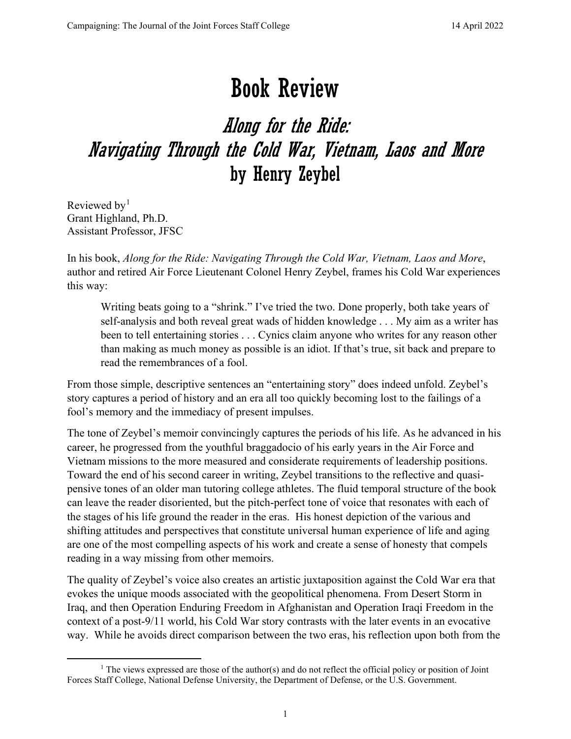## Book Review

## Along for the Ride: Navigating Through the Cold War, Vietnam, Laos and More by Henry Zeybel

Reviewed by<sup>[1](#page-0-0)</sup> Grant Highland, Ph.D. Assistant Professor, JFSC

In his book, *Along for the Ride: Navigating Through the Cold War, Vietnam, Laos and More*, author and retired Air Force Lieutenant Colonel Henry Zeybel, frames his Cold War experiences this way:

Writing beats going to a "shrink." I've tried the two. Done properly, both take years of self-analysis and both reveal great wads of hidden knowledge . . . My aim as a writer has been to tell entertaining stories . . . Cynics claim anyone who writes for any reason other than making as much money as possible is an idiot. If that's true, sit back and prepare to read the remembrances of a fool.

From those simple, descriptive sentences an "entertaining story" does indeed unfold. Zeybel's story captures a period of history and an era all too quickly becoming lost to the failings of a fool's memory and the immediacy of present impulses.

The tone of Zeybel's memoir convincingly captures the periods of his life. As he advanced in his career, he progressed from the youthful braggadocio of his early years in the Air Force and Vietnam missions to the more measured and considerate requirements of leadership positions. Toward the end of his second career in writing, Zeybel transitions to the reflective and quasipensive tones of an older man tutoring college athletes. The fluid temporal structure of the book can leave the reader disoriented, but the pitch-perfect tone of voice that resonates with each of the stages of his life ground the reader in the eras. His honest depiction of the various and shifting attitudes and perspectives that constitute universal human experience of life and aging are one of the most compelling aspects of his work and create a sense of honesty that compels reading in a way missing from other memoirs.

The quality of Zeybel's voice also creates an artistic juxtaposition against the Cold War era that evokes the unique moods associated with the geopolitical phenomena. From Desert Storm in Iraq, and then Operation Enduring Freedom in Afghanistan and Operation Iraqi Freedom in the context of a post-9/11 world, his Cold War story contrasts with the later events in an evocative way. While he avoids direct comparison between the two eras, his reflection upon both from the

<span id="page-0-0"></span><sup>&</sup>lt;sup>1</sup> The views expressed are those of the author(s) and do not reflect the official policy or position of Joint Forces Staff College, National Defense University, the Department of Defense, or the U.S. Government.